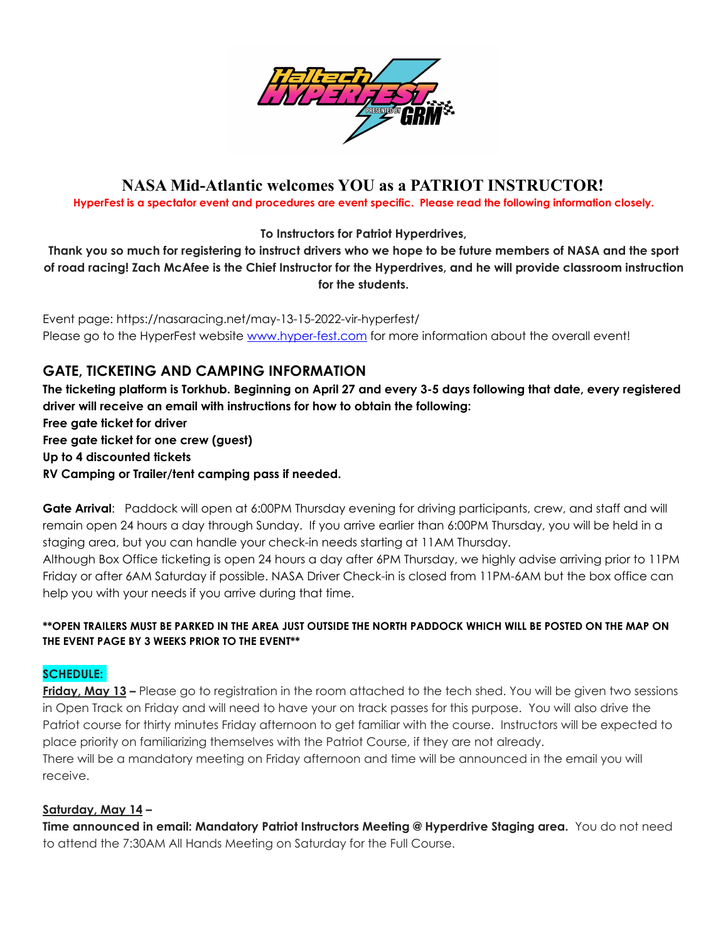

# **NASA Mid-Atlantic welcomes YOU as a PATRIOT INSTRUCTOR!**

**HyperFest is a spectator event and procedures are event specific. Please read the following information closely.**

**To Instructors for Patriot Hyperdrives,**

Thank you so much for registering to instruct drivers who we hope to be future members of NASA and the sport of road racing! Zach McAfee is the Chief Instructor for the Hyperdrives, and he will provide classroom instruction **for the students.**

Event page: https://nasaracing.net/may-13-15-2022-vir-hyperfest/ Please go to the HyperFest website [www.hyper-fest.com](http://www.hyper-fest.com) for more information about the overall event!

## **GATE, TICKETING AND CAMPING INFORMATION**

The ticketing platform is Torkhub. Beginning on April 27 and every 3-5 days following that date, every registered **driver will receive an email with instructions for how to obtain the following: Free gate ticket for driver Free gate ticket for one crew (guest)**

**Up to 4 discounted tickets**

**RV Camping or Trailer/tent camping pass if needed.**

**Gate Arrival**: Paddock will open at 6:00PM Thursday evening for driving participants, crew, and staff and will remain open 24 hours a day through Sunday. If you arrive earlier than 6:00PM Thursday, you will be held in a staging area, but you can handle your check-in needs starting at 11AM Thursday.

Although Box Office ticketing is open 24 hours a day after 6PM Thursday, we highly advise arriving prior to 11PM Friday or after 6AM Saturday if possible. NASA Driver Check-in is closed from 11PM-6AM but the box office can help you with your needs if you arrive during that time.

#### **\*\*OPEN TRAILERS MUST BE PARKED IN THE AREA JUST OUTSIDE THE NORTH PADDOCK WHICH WILL BE POSTED ON THE MAP ON THE EVENT PAGE BY 3 WEEKS PRIOR TO THE EVENT\*\***

## **SCHEDULE:**

**Friday, May 13 –** Please go to registration in the room attached to the tech shed. You will be given two sessions in Open Track on Friday and will need to have your on track passes for this purpose. You will also drive the Patriot course for thirty minutes Friday afternoon to get familiar with the course. Instructors will be expected to place priority on familiarizing themselves with the Patriot Course, if they are not already. There will be a mandatory meeting on Friday afternoon and time will be announced in the email you will receive.

#### **Saturday, May 14 –**

**Time announced in email: Mandatory Patriot Instructors Meeting @ Hyperdrive Staging area.** You do not need to attend the 7:30AM All Hands Meeting on Saturday for the Full Course.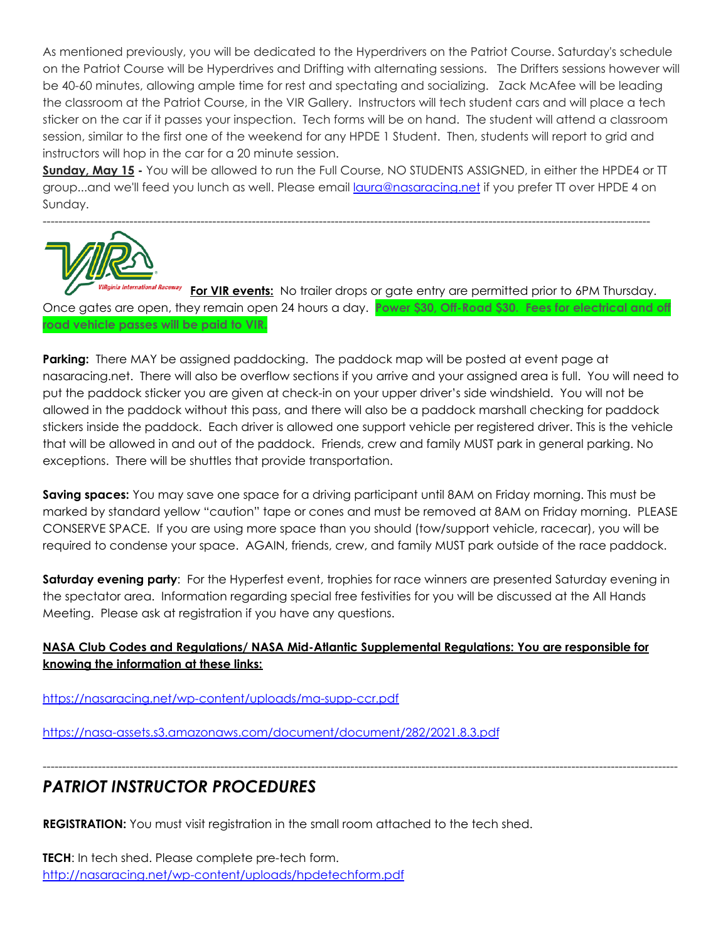As mentioned previously, you will be dedicated to the Hyperdrivers on the Patriot Course. Saturday's schedule on the Patriot Course will be Hyperdrives and Drifting with alternating sessions. The Drifters sessions however will be 40-60 minutes, allowing ample time for rest and spectating and socializing. Zack McAfee will be leading the classroom at the Patriot Course, in the VIR Gallery. Instructors will tech student cars and will place a tech sticker on the car if it passes your inspection. Tech forms will be on hand. The student will attend a classroom session, similar to the first one of the weekend for any HPDE 1 Student. Then, students will report to grid and instructors will hop in the car for a 20 minute session.

**Sunday, May 15 -** You will be allowed to run the Full Course, NO STUDENTS ASSIGNED, in either the HPDE4 or TT group...and we'll feed you lunch as well. Please email [laura@nasaracing.net](mailto:laura@nasaracing.net) if you prefer TT over HPDE 4 on Sunday.



**For VIR events:** No trailer drops or gate entry are permitted prior to 6PM Thursday. Once gates are open, they remain open 24 hours a day. **Power \$30, Off-Road \$30. Fees for electrical and off road vehicle passes will be paid to VIR.**

**Parking:** There MAY be assigned paddocking. The paddock map will be posted at event page at nasaracing.net. There will also be overflow sections if you arrive and your assigned area is full. You will need to put the paddock sticker you are given at check-in on your upper driver's side windshield. You will not be allowed in the paddock without this pass, and there will also be a paddock marshall checking for paddock stickers inside the paddock. Each driver is allowed one support vehicle per registered driver. This is the vehicle that will be allowed in and out of the paddock. Friends, crew and family MUST park in general parking. No exceptions. There will be shuttles that provide transportation.

**Saving spaces:** You may save one space for a driving participant until 8AM on Friday morning. This must be marked by standard yellow "caution" tape or cones and must be removed at 8AM on Friday morning. PLEASE CONSERVE SPACE. If you are using more space than you should (tow/support vehicle, racecar), you will be required to condense your space. AGAIN, friends, crew, and family MUST park outside of the race paddock.

**Saturday evening party**: For the Hyperfest event, trophies for race winners are presented Saturday evening in the spectator area. Information regarding special free festivities for you will be discussed at the All Hands Meeting. Please ask at registration if you have any questions.

## **NASA Club Codes and Regulations/ NASA Mid-Atlantic Supplemental Regulations: You are responsible for knowing the information at these links:**

-----------------------------------------------------------------------------------------------------------------------------------------------------------------

<https://nasaracing.net/wp-content/uploads/ma-supp-ccr.pdf>

<https://nasa-assets.s3.amazonaws.com/document/document/282/2021.8.3.pdf>

# *PATRIOT INSTRUCTOR PROCEDURES*

**REGISTRATION:** You must visit registration in the small room attached to the tech shed.

**TECH**: In tech shed. Please complete pre-tech form. <http://nasaracing.net/wp-content/uploads/hpdetechform.pdf>